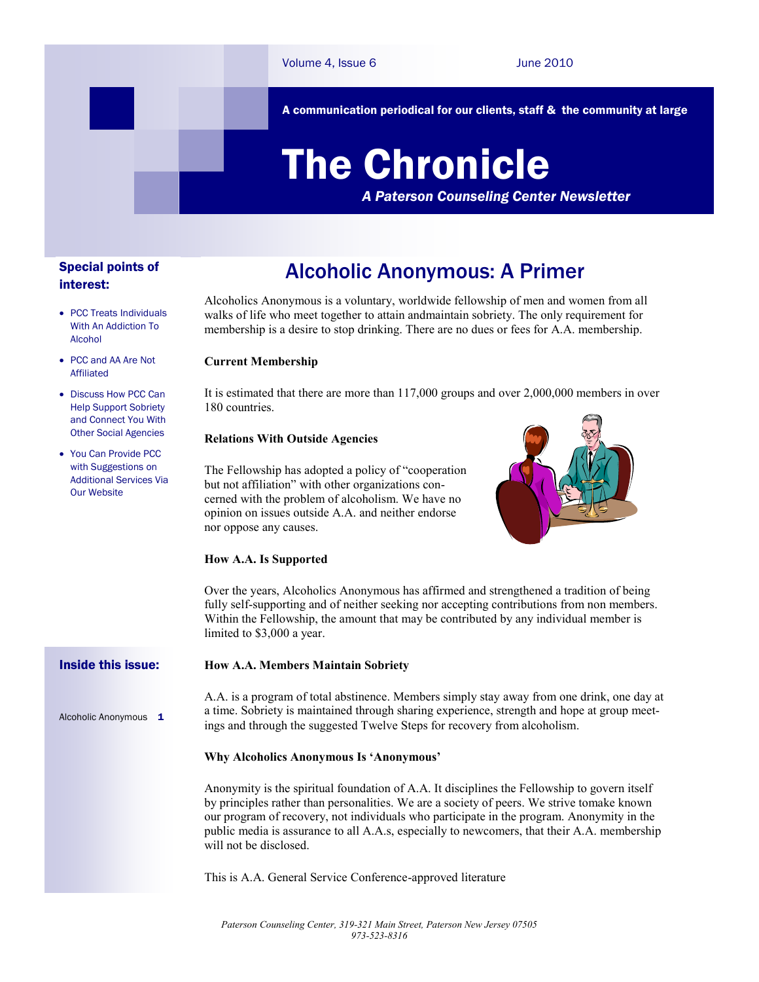A communication periodical for our clients, staff & the community at large

# The Chronicle

*A Paterson Counseling Center Newsletter*

# Special points of interest:

### **PCC Treats Individuals** With An Addiction To Alcohol

- PCC and AA Are Not Affiliated
- Discuss How PCC Can Help Support Sobriety and Connect You With Other Social Agencies
- You Can Provide PCC with Suggestions on Additional Services Via Our Website

Alcoholic Anonymous 1

# Alcoholic Anonymous: A Primer

Alcoholics Anonymous is a voluntary, worldwide fellowship of men and women from all walks of life who meet together to attain andmaintain sobriety. The only requirement for membership is a desire to stop drinking. There are no dues or fees for A.A. membership.

# **Current Membership**

It is estimated that there are more than 117,000 groups and over 2,000,000 members in over 180 countries.

# **Relations With Outside Agencies**

The Fellowship has adopted a policy of "cooperation but not affiliation" with other organizations concerned with the problem of alcoholism. We have no opinion on issues outside A.A. and neither endorse nor oppose any causes.



# **How A.A. Is Supported**

Over the years, Alcoholics Anonymous has affirmed and strengthened a tradition of being fully self-supporting and of neither seeking nor accepting contributions from non members. Within the Fellowship, the amount that may be contributed by any individual member is limited to \$3,000 a year.

#### **How A.A. Members Maintain Sobriety** Inside this issue:

A.A. is a program of total abstinence. Members simply stay away from one drink, one day at a time. Sobriety is maintained through sharing experience, strength and hope at group meetings and through the suggested Twelve Steps for recovery from alcoholism.

# **Why Alcoholics Anonymous Is 'Anonymous'**

Anonymity is the spiritual foundation of A.A. It disciplines the Fellowship to govern itself by principles rather than personalities. We are a society of peers. We strive tomake known our program of recovery, not individuals who participate in the program. Anonymity in the public media is assurance to all A.A.s, especially to newcomers, that their A.A. membership will not be disclosed.

This is A.A. General Service Conference-approved literature